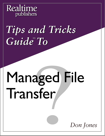

# *Tips and Tricks Tips and Tricks*  $Guide^{\pi}$ To

# Managed File Transfer

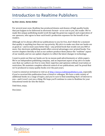### <span id="page-1-0"></span>Introduction to Realtime Publishers

#### **by Don Jones, Series Editor**

For several years now, Realtime has produced dozens and dozens of high‐quality books that just happen to be delivered in electronic format—at no cost to you, the reader. We've made this unique publishing model work through the generous support and cooperation of our sponsors, who agree to bear each book's production expenses for the benefit of our readers.

Although we've always offered our publications to you for free, don't think for a moment that quality is anything less than our top priority. My job is to make sure that our books are as good as—and in most cases better than—any printed book that would cost you \$40 or more. Our electronic publishing model offers several advantages over printed books: You receive chapters literally as fast as our authors produce them (hence the "realtime" aspect of our model), and we can update chapters to reflect the latest changes in technology.

I want to point out that our books are by no means paid advertisements or white papers. We're an independent publishing company, and an important aspect of my job is to make sure that our authors are free to voice their expertise and opinions without reservation or restriction. We maintain complete editorial control of our publications, and I'm proud that we've produced so many quality books over the past years.

I want to extend an invitation to visit us at [http://nexus.realtimepublishers.com](http://nexus.realtimepublishers.com/), especially if you've received this publication from a friend or colleague. We have a wide variety of additional books on a range of topics, and you're sure to find something that's of interest to you—and it won't cost you a thing. We hope you'll continue to come to Realtime for your educational needs far into the future.

Until then, enjoy.

Don Jones

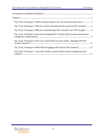| Tip, Trick, Technique 1: When transferring files, isn't all encryption the same?     |
|--------------------------------------------------------------------------------------|
| Tip, Trick, Technique 2: Why do I need to manage person-to-person file transfers?  2 |
| Tip, Trick, Technique 3: Why do I need Managed File Transfer? Isn't FTP enough?5     |
| Tip, Trick, Technique 4: How does Managed File Transfer help me meet and maintain    |
| Tip, Trick, Technique 5: How can I ensure that my users utilize a Managed P2P File   |
| Tip, Trick, Technique 6: What kind of logging will I need for file transfers? 15     |
| Tip, Trick, Technique 7: Can a file transfer system enable central management and    |

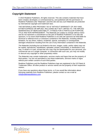#### *Copyright Statement*

© 2010 Realtime Publishers. All rights reserved. This site contains materials that have been created, developed, or commissioned by, and published with the permission of, Realtime Publishers (the "Materials") and this site and any such Materials are protected by international copyright and trademark laws.

THE MATERIALS ARE PROVIDED "AS IS" WITHOUT WARRANTY OF ANY KIND, EITHER EXPRESS OR IMPLIED, INCLUDING BUT NOT LIMITED TO, THE IMPLIED WARRANTIES OF MERCHANTABILITY, FITNESS FOR A PARTICULAR PURPOSE, TITLE AND NON-INFRINGEMENT. The Materials are subject to change without notice and do not represent a commitment on the part of Realtime Publishers or its web site sponsors. In no event shall Realtime Publishers or its web site sponsors be held liable for technical or editorial errors or omissions contained in the Materials, including without limitation, for any direct, indirect, incidental, special, exemplary or consequential damages whatsoever resulting from the use of any information contained in the Materials.

The Materials (including but not limited to the text, images, audio, and/or video) may not be copied, reproduced, republished, uploaded, posted, transmitted, or distributed in any way, in whole or in part, except that one copy may be downloaded for your personal, noncommercial use on a single computer. In connection with such use, you may not modify or obscure any copyright or other proprietary notice.

The Materials may contain trademarks, services marks and logos that are the property of third parties. You are not permitted to use these trademarks, services marks or logos without prior written consent of such third parties.

Realtime Publishers and the Realtime Publishers logo are registered in the US Patent & Trademark Office. All other product or service names are the property of their respective owners.

If you have any questions about these terms, or if you would like information about licensing materials from Realtime Publishers, please contact us via e-mail at [info@realtimepublishers.com](mailto:info@realtimepublishers.com).

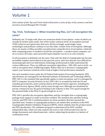## <span id="page-4-0"></span>Volume 1

*Each volume of this Tips and Tricks Guide will present a series of tips, tricks, answers, and best practices around Managed File Transfer.*

#### **Tip, Trick, Technique 1: When transferring files, isn't all encryption the same?**

Definitely not. To begin with, there are numerous kinds of encryption—some of which can actually be broken quite easily. One of the earlier common forms of encryption (around 1996) relied on encryption keys that were 40 bits in length; surprisingly, many technologies and products continue to use this older, weaker form of encryption. Although there are nearly a trillion possible encryption keys using this form of encryption, relatively little computing power is needed to break the encryption—a modern home computer can do so in just a few days, and a powerful supercomputer can do so in a few minutes.

So all encryption is definitely not the same. That said, the field of cryptography has become incredibly complex and technical in the past few years, and it has become very difficult for businesspeople and even information technology professionals to fully understand the various differences. There are different encryption algorithms—DES, AES, and so forth—as well as encryption keys of differing lengths. Rather than try to become a cryptographic expert, your business would do well to look at higher‐level performance standards.

One such standard comes under the US Federal Information Processing Standards. FIPS specifications are managed by the National Institute of Standards and Technology (NIST); FIPS 140‐2 is the standard that specifically applies to data encryption, and it is managed by NIST's Computer Security Division. In fact, FIPS 140‐2 is accepted by both the US and Canadian governments, and is used by almost all US government agencies, including the National Security Agency (NSA), and by many foreign ones. Although not mandated for private commercial use, the general feeling in the industry is that "if it's good enough for the paranoid folks at the NSA, it's good enough for us too."

FIPS 140‐2 specifies the encryption algorithms and key strengths that a cryptography package must support in order to become certified. The standard also specifies testing criteria, and FIPS 140‐2 certified products are those products that have passed the specified tests. Vendors of cryptography products can submit their products to the FIPS Cryptographic Module Validation Program (CMVP), which validates that the product meets the FIPS specification. The validation program is administered by NIST‐certified independent labs, which not only examine the source code of the product but also its design documents and related materials—before subjecting the product to a battery of confirmation tests.

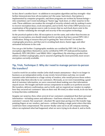<span id="page-5-0"></span>In fact, there's another facet—in addition to encryption algorithm and key strength—that further demonstrates how all encryption isn't the same: back doors. Encryption is implemented by computer programs, and those programs are written by human beings who sometimes can't resist including an "Easter egg," back door, or other surprise in the code. These additions can weaken the strength of security‐related code by making it easier to recover encryption keys, crack encryption, and so forth. Part of the CMVP process is an examination of the program source code to ensure that no such back doors exist in the code—further validating the strength *and security* of the encryption technology.

So the practical upshot is this: All encryption is not the same, and rather than become an expert on encryption, you should simply look for products that have earned FIPS 140‐2 certification. Doing so ensures that you're getting the "best of breed" for modern cryptography practices, and that you're avoiding back doors, Easter eggs, and other unwanted inclusions in the code.

You can go a bit further. Cryptographic modules are certified by FIPS 140‐2, but the encryption algorithms themselves can be certified by FIPS 197 (Advanced Encryption Standard), FIPS 180 (SHA-1 and HMAC-SHA-1 algorithms). By selecting a product that utilizes certified cryptography, you're assured of getting the most powerful, most secure encryption currently available.

#### **Tip, Trick, Technique 2: Why do I need to manage person‐to‐person file transfers?**

I used to work for an online retailer (who shall remain anonymous—they're no longer in business as an independent entity, in any event). Several times each day, we would transmit order information to a huge variety of vendors, who would process those orders and drop‐ship them directly to our customers. Obviously, as we were transmitting a good deal of customer information, we were concerned about making sure that information stayed secure. We bought and built various components to enable us to perform secured file transfers, delivery confirmation, and so forth, and we required our vendors to explain how they secured our customers' data on their end. We tried, in other words, to do our best to keep that data confidential.

Imagine our surprise, then, when several of our customers complained that their personal information—including names and addresses—had been released, by us, without the customers' consent. Not surprised—shocked. We spent days poring over file transfer logs, pointing fingers at our vendors, and more—without finding a single point where that data could have been compromised. The answer finally came out in an all‐company meeting where we explained what had happened, what we were trying to do about it, and so forth.

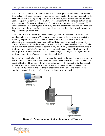It turns out that some of our vendors would occasionally get a corrupted data file. Rather than call our technology department and request a re‐transfer, the vendors were calling the customer service line, requesting order information for specific orders. Because we were a small company, our service representatives were familiar with the vendors, so they pulled the requested orders and simply emailed the information to someone at the vendor. The email, of course, wasn't encrypted in any way, and it in fact traversed several email servers between us and the vendor. One of those email servers was the point at which the data was copied and compromised. Oops.

This situation illustrates why you need to *manage* person‐to‐person file transfers. The employees in your company *will* engage in person‐to‐person file transfer. You can't stop them. If you prohibit email attachments, they'll use Gmail or Yahoo or some other alternative. Block access to those sites, and they'll start using sites like Drop.io or other "drop box" services. Block those, and your people will find something else. They *need* to be able to transfer files from person to person; failing an officially‐supported solution, they'll find something unofficial. So you pretty much *have* to implement an official, supported, *secure* person-to-person file transfer mechanism that your employees—and your external partners—can utilize. What do those solutions look like?

Some look and work a lot like the peer-to-peer file transfer solutions that many consumers use at home. The person on either end of the transfer uses a file transfer client to send and receive files to and from each other. Typically, in a managed solution, the file data actually passes through a central file transfer server—in many cases, the same Managed File Transfer (MFT) server that is handling your server‐to‐server transfers, like the secure vendor transfers I described earlier. Figure 1.1 shows how this works.



**Figure 1.1: Persontoperson file transfer using an MFT server.**

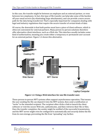In this case, the transfer might be between an employee and an external partner, or even between two employees. In fact, this type of file transfer can help take some of the burden off your email servers (by eliminating large attachments), and can provide a more secure path for the data being transferred. That's especially important for companies dealing with legal and industry regulations that require the secure transfer of certain kinds of data.

Of course, the downside is that both parties must have a piece of client software, which is often not convenient for external partners. Many person‐to‐person solutions therefore offer alternative client interfaces, such as a Web site. This interface usually includes some kind of authorization, meaning you create either a temporary or permanent user account for an external partner. Figure 1.2 shows this alternative.



**Figure 1.2: Using a Web interface for one file transfer user.**

These person‐to‐person MFT systems often support asynchronous operation. That means the user sending the file can deposit it into the MFT system, then send a notification or "invite" to the intended recipient. The recipient often clicks a link to launch the client software or visit the secure Web site, authenticates, and then retrieves their file or files. Once the transfer completes, the sender might be notified of the successful transmission, and the MFT server might even be configured to automatically and securely delete the file from its own storage, preventing the file from "spreading" any further.

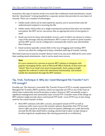<span id="page-8-0"></span>In practice, this type of system works very much like traditional email attachments, except that the "attachment" is being handled by a separate system that provides its own layers of security. There are a number of advantages:

- Unlike email, which can be intercepted by anyone, you're assured that only the authenticated recipient is receiving the file.
- Unlike email, which relies on a single transmission protocol that does not *mandate* encryption, the MFT server can ensure that an appropriate level of encryption is used.
- Email can traverse many intermediate servers, each of which can choose to retain a copy of the message and any attachments; MFT is more of a point‐to‐point transfer, and the MFT server can be configured to automatically remove any intermediate files if desired.
- Email systems typically contain little in the way of logging and tracking; MFT servers can often be configured to keep a detailed audit log of transfer activity.

This kind of person-to-person transfer doesn't need to be any more difficult for your users than sending email attachments—but it can be much more secure.

#### **Note**

It's even common for a person-to-person MFT solution to integrate with popular messaging clients, such as Microsoft Office Outlook, so that users can "attach" files to an email even more transparently. Such a plug‐in might supplant the software's native file attachment functionality, and instead handle the attachment through the MFT solution.

#### **Tip, Trick, Technique 3: Why do I need Managed File Transfer? Isn't FTP enough?**

Possibly not. The Internet's venerable File Transfer Protocol (FTP) is usually supported by Managed File Transfer (MFT) systems, which can typically use FTP as one of the ways in which data is physically moved from place to place. However, MFT essentially wraps a significant management and automation layer around FTP. Consider some of the things an MFT solution might provide above and beyond FTP itself—even if FTP was, in fact, being used for the actual transfer of data:

• Most MFT solutions will offer a secure, encrypted variant of FTP as well as numerous other more‐secure file transfer options. Remember that *FTP by itself doesn't offer any form of transportlevel encryption* (although you could obviously encrypt the file data itself before sending, and decrypt it upon receipt; doing so involves logistical complications like sharing passwords or certificates).

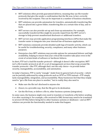- MFT solutions often provide guaranteed delivery, meaning they use file transfer protocols that give the sender a confirmation that the file was, in fact, correctly received by the recipient. This can be important in a number of business situations.
- MFT solutions can provide automation for transfers, automatically transferring files that are placed into a given folder, transferring files at a certain time of day, and so forth.
- MFT servers can also provide set-up and clean-up automation. For example, successfully‐transferred files might be securely wiped from the MFT server's storage to help prevent unauthorized disclosure or additional transfers.
- MFT servers may provide application programming interfaces (APIs) that make file transfer easier to integrate into your internal line‐of‐business applications.
- MFT solutions commonly provide detailed audit logs of transfer activity, which can be useful for troubleshooting, security, compliance, and many other business purposes.
- Enterprise-class MFT solutions may provide options for automated failover and high availability, helping to ensure that your critical file transfers take place even in the event of certain kinds of software or hardware failures.

In short, FTP isn't a bad file transfer protocol—although it doesn't offer encryption. MFT isn't a file transfer protocol at all; it's a set of management services that wrap around file transfer protocols—like FTP, although that's not the only choice—to provide better security, manageability, accountability, and automation.

In today's business, FTP is rarely "enough." Aside from its general lack of security—which can be partially addressed by using protocols such as SFTP or FTPS instead—FTP simply lacks manageability, integration, and accountability. Many businesses feel that they simply need to "get a file from one place to another," but in reality they also need to

- Make sure the file isn't disclosed to anyone else
- *Ensure,* in a provable way, that the file got to its destination
- Get the file from, or deliver a file to, other business systems (integration)

In some cases, the business might even need to translate or transform a file before sending it or after receiving it. For example, a file received in XML format may need to be translated to several CSV files before being fed to other business systems or databases—and an MFT solution can provide the functionality needed to make that happen.

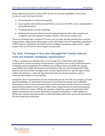<span id="page-10-0"></span>Many organizations tend to look at MFT first for its security capabilities, which often revolve around a few basic themes:

- Protecting data in-transit (encryption)
- Ensuring that only authorized individuals can access the MFT system (authorization and authentication)
- Tracking transfer activity (auditing)
- Reducing the spread of data (securely wiping temporary files after transfers are complete, and controlling the number of times a file can be transferred)

These are all things that a simple FTP server can't provide. Having satisfied their security requirements, organizations then begin to take advantage of the manageability capabilities of MFT systems, including centralized control, tracking, automation, and so forth—again, features that an FTP server alone simply can't give you.

#### **Tip, Trick, Technique 4: How does Managed File Transfer help me meet and maintain compliance requirements?**

Today's companies are dealing with an increasing array of legislative and industry requirements, mostly revolving around security. Legislation such as the Health Insurance Portability and Accountability Act (HIPAA), the Sarbanes‐Oxley Act (SOX), the Gramm‐ Leach‐Bliley (Act) GLBA, the Payment Card Industry Data Security Standards (PCI DSS), Basel II, and more all have stringent data security requirements for specific types of data within your business—often the data that forms the core of your business, such as customer information or financial data.

Sometimes, these requirements are very technically precise. PCI DSS, for example, provides specific guidelines on what kind of data must be protected (customer and cardholder information), when it must be protected (in transit and when stored), and how it must be protected (encryption, in most cases). Other times, requirements are much more general and less technical in nature. HIPAA, for example, simply has a general requirement that patient information must not be disclosed to unauthorized parties; a 2009 addition to HIPAA also requires that data holders notify individuals when their protected information has been improperly disclosed.

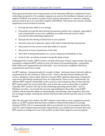Those general business‐level requirements can be extremely difficult to implement from a technology perspective. For example, suppose you work in the healthcare industry and are subject to HIPAA. You need to transfer certain patient information to a partner company, and you need to do so in a way that complies with HIPAA. That means you need to actually implement several technical controls:

- Encrypt the data while it is in storage
- Potentially encrypt the data during transmission within your company, especially if such transmission occurs over a publicly-accessible network (such as when accessed by telecommuting employees)
- Encrypt the data during transmission to your partner
- Securely wipe any temporary copies of the data created during transmission
- Keep track of every access to the data while it is stored
- Keep track of every transmission of the data
- Store that tracking information in a secure, tamperproof database or log
- Control who can initiate transfers of specific kinds of data

A Managed File Transfer (MFT) system can help with many of these requirements. By using a properly‐configured MFT system as your *sole means* of transmitting data—potentially both within your organization and externally—you can become compliant with these requirements much more easily.

An MFT solution—being primarily for *transfer* of data—obviously doesn't directly address requirements for the security of "data at rest"—that is, the data stored within your file servers, databases, and so forth. However, because MFT solutions often keep a temporary copy of any data being transferred, they *are* impacted by "data at rest" requirements. An effective MFT solution should fully secure access to such temporary files so that only the MFT system itself can access those files, and so that any access to those files is audited. Typically, MFT systems will rely on the underlying operating system (OS)—such as Windows or Linux—to provide the security and auditing for those files. A good MFT solution will provide the ability to automatically, and securely, wipe temporary files that are no longer needed, reducing the chance that those files will become the source of a data breach.

After the data goes into motion, the MFT solution's real value to your compliance posture kicks in. An MFT solution that has been certified to Federal Information Processing Standard (FIPS) 140-2 is automatically able to provide the level of encryption desired by most US‐ and Canadian‐based security requirements; you simply have to ensure that your MFT system is configured to use a file transfer protocol that supports such encryption.

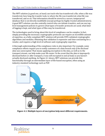The MFT solution (a good one, at least) can track who has transferred a file, when a file was transferred, how long the transfer took, to where the file was transferred, what file was transferred, and so on. That information should be stored in a secure, tamperproof database that is not directly modifiable (except perhaps by highly‐trusted administrators). A good MFT solution can also centrally control who can initiate transfers, and can use top‐ level management policies to govern what types of transfer protocols are used, what kind of logging is kept, and what types of files may be transferred.

The technologies used to bring about this level of compliance can be complex. In fact, simply providing the necessary cryptographic protocols can require an incredible amount of expertise, as a fully‐compliant MFT solution will provide FIPS‐validated cryptographic algorithms and modules. Obtaining that validation is expensive and time‐consuming for a vendor, and requires a high level of software and cryptography expertise.

A thorough understanding of the compliance rules is also important. For example, some compliance efforts require you to notify customers of a data breach *only if the disclosed data was unencrypted.* That means applying encryption to the data, as well as to the transport stream, can help make your life easier: In the event that the data is improperly disclosed before or after transport, *it was still encrypted in and of itself,* so you haven't actually disclosed anything. As Figure 4.1 shows, MFT solutions can provide this functionality through an intermediate layer of file‐based encryption, often using an industry‐standard technology such as PGP.



**Figure 4.1: Multiple layers of encryption help meet different requirements.**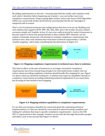By adding authentication to the mix—ensuring that both the sender and recipient verify each others' identities before beginning any transfer—you can further meet your compliance requirements. Using cryptographic hashes, such as the Secure Hash Algorithm (SHA), you can provide further protection by ensuring that the file isn't damaged or tampered with in-transit.

That's a *lot* of technical protocols and configurations that have to be set up. Building your own solution that supports SFTP, PHP, SSL, SHA, SSH, and a raft of other security‐related acronyms simply isn't feasible. In fact, it's not even really practical for today's businesses to become experts in these fine‐grained details as they evaluate MFT solutions. Let me explain: Commonly, businesses will attempt to translate compliance requirements into technical ones, then seek solutions that meet those technical requirements. I call this "double‐mapping," and it looks something like the illustration in Figure 4.2.



#### **Figure 4.2: Mapping compliance requirements to technical ones, then to s olutions.**

This kind of effort on the part of businesses is no longer warranted. Compliance requirements have been around long enough to be well understood; vendors who are serious about providing compliance solutions should handle this mapping for you. Figure 4.3 shows what you should be looking for: A solution that maps its capabilities *directly to compliance requirements,* providing underlying technical explanations if you want them, but focusing on that business‐level mapping.



#### **Figure 4.3: Mapping solution capabilities to compliance requirement s.**

It's not that your business shouldn't be concerned about the underlying technical implementation; it's that you should be concerned *first* about *becoming compliant* and looking for solutions that map to specific compliance requirements—such as the SOX DS5.11 requirement in this example. Vendors can provide this through informative graphs and tables, such as the excerpt that Figure 4.4 shows.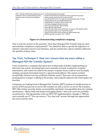<span id="page-14-0"></span>

| DS5.11 Exchange of Sensitive Data. Exchange only over a<br>trusted path, control for content authenticity, proof of<br>submission, proof of receipt and non-repudiation of<br>origin. | - User IDs and passwords always encrypted<br>- Encrypts client connections over SSH and SSL (Implicit, Explicit and TLS) protocols<br>- Session encryption using 256-bit AES encryption and 3DES<br>- Force SSH, SSL/FTPS or TLS 1.0 or higher on all client connections to WS_FTP Server<br>- Encrypts stored files with fully-integrated OpenPGP mode<br>- Configurable SSL/TLS encryption down to the folder level<br>- Policy based cryptographic strength enforcement<br>- Import, export and create SSL x.509v3 certificates<br>- Import, export and create SSH keys<br>- Create, Edit, Import, Export, Delete OpenPGP keys with support for PGP, OpenPGP and GPG<br>- Select and prioritize ciphers to use in OpenPGP key creation<br>- Support for RSA and Diffie-Hellman key types with settable expiration date |
|---------------------------------------------------------------------------------------------------------------------------------------------------------------------------------------|---------------------------------------------------------------------------------------------------------------------------------------------------------------------------------------------------------------------------------------------------------------------------------------------------------------------------------------------------------------------------------------------------------------------------------------------------------------------------------------------------------------------------------------------------------------------------------------------------------------------------------------------------------------------------------------------------------------------------------------------------------------------------------------------------------------------------|
|                                                                                                                                                                                       | - OpenPGP asymmetric key length of 1024 - 4096 bits                                                                                                                                                                                                                                                                                                                                                                                                                                                                                                                                                                                                                                                                                                                                                                       |

**Figure 4.4: Demonstrating compliance mapping.**

This is truly the answer to the question, "How does Managed File Transfer help me meet and maintain compliance requirements?" You should be able to specify the legislative or industry rules that concern your business, and see exactly how a given solution addresses the specifics of those rules.

#### **Tip, Trick, Technique 5: How can I ensure that my users utilize a Managed P2P File Transfer System?**

I once worked for a company that spent tens of thousands of dollars implementing an electronic fax system. Incoming faxes were centrally received, scanned for recipient information, and routed via email to the proper recipient. Faxes could be sent by simply sending a properly‐formatted email to a special email address. The system worked wonderfully and had very few problems. Nobody used it. They were all accustomed to printing pieces of paper, walking to the printer, and using the adjacent old‐school paper fax machine.

Companies are looking hard at Managed File Transfer (MFT) systems to handle person‐to‐ person (P2P) and person‐to‐server file transfers as well as server‐to‐server file transfers. MFT offers better security, better accountability, and better manageability than the existing mechanisms—likely email and instant messaging clients—that your users are probably accustomed to. The big question with any MFT P2P implementation, though, is "Will my users actually use it?" You can ensure a "Yes, they will" answer through two approaches: the carrot and the stick.

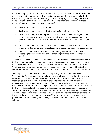Users will employ whatever file transfer method they are most comfortable with and that is most convenient—that's why email and instant messaging clients are so popular for file transfers. They're easy, they're something users are using anyway, and they're something users have already learned how to use. The "stick" approach is to simply make these methods less convenient or completely unavailable:

- Block access to file-sharing Web sites
- Block access to Web-based email sites such as Gmail, Hotmail, and Yahoo
- Block users' ability to use FTP protocols from their client computers; you might simply block this at your corporate Internet firewall, for example, or you might block it at your internal routers to reduce internal use of unsecured, unmanaged FTP
- Curtail or cut off the use of file attachments to emails—either to external email recipients or to internal and external recipients, depending upon your requirements
- Filter file attachment traffic from instant messaging clients or restrict instant messaging to those clients that can be centrally prevented from allowing file transfers

The fact is that users *will find a way* no matter what restrictions and blockages you put in their way, but that's okay—you're not trying to block everything, you're simply trying to make these less‐secured, less‐manageable methods harder and less convenient to use. You'll also be offering a carrot: A more convenient, easier-to-use method that is official, supported, allowed, *and* properly securable and manageable. That's your MFT P2P solution.

Selecting the right solution is the key to having a tasty carrot to offer your users, and the "right solution" will depend largely on how your users transfer files today. If your users rely primarily on email attachments, look for a solution that integrates with your messaging client. This may be in the form of an alternate "attachment" button in the message composition window, for example. Rather than attaching a message to an email, this alternate button submits a file to your MFT server, and provides a link within the email for the recipient to click. It may even enable the sending user to create a temporary user account in the MFT system that the recipient can use to access the file—and may even send a separate notification email to the recipient with their new, temporary login credentials. Figure 5.1 illustrates this concept, which enables users to continue using what they perceive as "file attachments," but actually handles the file transfer through the MFT solution.

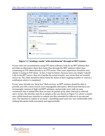

**Figure 5.1: Sending emails "with attachments" through an MFT system.**

If your users are accustomed to using FTP client software, look for an MFT solution that provides an alternative client that routes files through the MFT solution rather than connecting an FTP client directly to an FTP server. Your users experience should be very similar to using an FTP client—in fact, it may be better, because users can simply "submit" a file to the MFT server, then let it handle the actual transfer, any retries that are needed, and so on. The client should let them check the status of their ongoing transfer or receive a notification when it's completed.

If your users already use "drop box" Web services, an MFT solution should be able to provide you with a more secure, more manageable alternative. Web‐based interfaces are increasingly common in high‐end MFT solutions, and provide users with an easy, convenient way to submit files that can later be picked up by other internal or external users. In fact, the interface may be as simple as the one shown in Figure 5.2, where a sender uses a Web-based user interface to submit two files intended for delivery to an external user. The interface is similar to an email—something most users are very comfortable with, making this option both convenient and approachable.

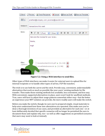| Send                        | <b>X</b> Cancel<br>Save as Draft<br>$\mathcal P$ Preview<br>Check Recipients<br>Save as Template         |  |  |  |  |  |  |  |
|-----------------------------|----------------------------------------------------------------------------------------------------------|--|--|--|--|--|--|--|
| <b>To</b>                   | jonathan@company.com, joconner@ipswitch.com                                                              |  |  |  |  |  |  |  |
| Subject:                    | transactions this week                                                                                   |  |  |  |  |  |  |  |
| Note:                       | b<br>$\frac{1}{2}$<br>蛋 蛋 田<br>100 100 100<br>- 青い草   青い草<br>$(Size) \vee$<br>(Font)<br>v                |  |  |  |  |  |  |  |
|                             | Here are the invoices for your review.                                                                   |  |  |  |  |  |  |  |
|                             | thanks,                                                                                                  |  |  |  |  |  |  |  |
|                             | Hugh                                                                                                     |  |  |  |  |  |  |  |
|                             |                                                                                                          |  |  |  |  |  |  |  |
|                             |                                                                                                          |  |  |  |  |  |  |  |
| <b>Files:</b><br>(Optional) | InvoiceNumber031210.pdf 3 (51.2 KB) [3<br>$\mathbf{\mathbf{\ast}}$<br>AnnualSalesInvoices.xls & (2.2 MB) |  |  |  |  |  |  |  |
| <b>SENDER</b>               |                                                                                                          |  |  |  |  |  |  |  |

**Figure 5.2: Using a Web interface to send files.**

Other types of Web interfaces can make it easier for external users to upload files for internal recipients or to handle other types of ad‐hoc, P2P file transfers.

The trick is to use both the carrot *and* the stick. Provide easy, convenient, understandable alternatives that work as much as possible like your users' existing methods for file transfer. Then make those existing methods less available, less convenient, and less easy. With convenient, supported alternatives in place, users won't look for unofficial methods. True, users will have to adjust their usage patterns somewhat either way—but the better an experience your MFT solution can provide, the more readily users will make the switch.

Before you make the switch, though, be sure you've prepared simple, visual materials to help users understand how these new alternatives are operated. Also make sure you've done a thorough inventory of use cases, and provided an alternative for each one—or at least deliberately decided that specific scenarios will no longer be permitted (be sure to document those and explain why, too—as well as offer suggestions on permitted scenarios that users may want to look at instead).

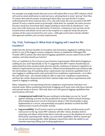<span id="page-18-0"></span>For example, you might decide that your users will submit files to your MFT solution, which will send an email notification to external users, advising them to come "pick up" their files. To ensure that only the proper recipient gets those files, you may decide to require authentication for those external users. If so, who will create the user accounts in the MFT system? If such a request needs to go through a Help desk, for example, the entire process becomes much less convenient than simply sending an email with an attachment—and your users will resist your new alternative. If, however, a temporary user account can be created ad‐hoc and details can be sent to the recipient in a separate email, the process remains ad‐hoc and convenient for your users—although you'll need to decide whether that approach satisfies your security requirements.

#### **Tip, Trick, Technique 6: What kind of logging will I need for file transfers?**

Aside from the obvious benefits of encryption and automation, logging (or auditing, if you prefer) is one of the biggest reasons companies choose to implement a Managed File Transfer (MFT) system. But what kind of logging capabilities can you expect from an MFT solution, and what should you look for?

First, as I explained in Tip 4, focus on your business requirements. What kind of logging or auditing do you *need?* Specifically in Tip 4 I suggested that MFT vendors should help you understand how their products help meet the specific conditions of whatever legislative or industry requirements you may be subject to, without necessitating that your business take the intermediate step of translating those requirements into technical capabilities first. If your logging or auditing needs come primarily from compliance requirements—as is often the case these days—you should simply be able to state your compliance requirements, and have the vendor demonstrate how their solution helps meet those requirements with regard to logging or auditing.

Many companies are incorporating external compliance requirements with their own internal needs. When considering what kind of logging you'll need, start with those internal and external needs as drivers. That said, there are a few general logging capabilities that most business will want:

- **A tamperproof audit trail.** Because nothing in technology can ever be "proof" against anything, you may see this positioned as *tamperevident* instead, meaning that if tampering occurs, you'll at least know about it. This functionality is often implemented as a secure, and potentially encrypted, database in which the MFT solution stores records of transfer activity.
- **Log accessibility.** You'll need to report on transfer activity, and that means you'll need access to the log. Some MFT solutions will offer robust, detailed, built‐in reporting, and others will provide direct read‐only access to the database for use by third‐party reporting tools. Ideally, you want both capabilities: Built‐in reports get you up and running quickly, while database connectivity offers the ability to use external reporting, billing, and tracking applications.

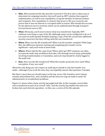- **Who.** Who transferred the file and who received it? The first who is often easy to determine for outgoing transfers, but you'll need an MFT solution that supports authentication, as well as non‐repudiation, to log the identity of external senders and recipients. *Nonrepudiation* is a feature that proves a file was received, and proves that it was not altered or corrupted while in transit. *Who* should also account for the physical servers involved, which can be authenticated through transport‐ level protocols such as SSL.
- **What.** Obviously, you'll want to know what was transferred. Typically, MFT solutions won't keep a copy of the file (although many can be configured to do so if you need an audit log that detailed, keeping a copy of the file can present additional security concerns), but they will log what file was transferred.
- **When.** When was the file transferred? When was the transfer complete? With large files, the difference between starting and completing the transfer can be significant—and you'll want to know both.
- **Where.** Where did the file come from? Where did it go? MFT solutions can often incorporate multi‐step workflows that take a file through several steps, potentially involving transformation or translation, and each step should be clearly logged in the audit trail.
- How. How was the file transferred? What file transfer protocols were used? What encryption, if any, was used?

About the only thing you can't expect an audit log to include is *why* the transfer was made—although if you track the *who,* they can hopefully answer that question, if needed.

But there's more that you should expect in the log: errors. File transfers aren't always smooth and problem‐free, and a detailed activity and error log can make it easier for administrators to troubleshoot problems.

Figure 6.1 shows what a basic activity log might look like. In this example, several files were transferred as part of an overall "task," and the activity log enables the task to be broken into each discrete operation—in this case, a series of five file uploads.

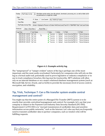<span id="page-20-0"></span>

| Display:<br>File/folder activity entries show file uploads, downloads, processing, etc, as well as folder activit<br>File/Folder Activity<br>▼<br>be performed on a single file or folder. |                                 |                      |                      |                            |                   |  |  |  |
|--------------------------------------------------------------------------------------------------------------------------------------------------------------------------------------------|---------------------------------|----------------------|----------------------|----------------------------|-------------------|--|--|--|
| Filter                                                                                                                                                                                     |                                 |                      |                      |                            |                   |  |  |  |
| Task Filter:                                                                                                                                                                               | ⊕ None<br><b>C</b> Use Current: |                      | ALL TASKS (2 Tasks)  |                            |                   |  |  |  |
| Time Filter:                                                                                                                                                                               | None                            |                      |                      |                            |                   |  |  |  |
| File/Folder Activity Filter:<br>Action = (Upload or Process or Entries With Errors) and (Task ID is '336475831' (My Task) and Schec                                                        |                                 |                      |                      |                            |                   |  |  |  |
| Shortcuts:<br>Clear + Show New<br><b>Reset Filter</b>                                                                                                                                      |                                 |                      |                      |                            |                   |  |  |  |
| Log Time                                                                                                                                                                                   | <b>Task Name</b>                | Status               | Action               | S.Path                     | D.Path            |  |  |  |
| 2009-05-08 14:46:52                                                                                                                                                                        | My Task                         | $\checkmark$ Success | Upload<br>$\bigcirc$ | /users/micentral/file5.txt | \\lexnas\temporar |  |  |  |
| 2009-05-08 14:46:51                                                                                                                                                                        | M<br>My Task                    | Success              | Upload<br>⊕.         | /users/micentral/file4.txt | \\lexnas\temporar |  |  |  |
| 2009-05-08 14:46:49                                                                                                                                                                        | My Task                         | Success              | Upload<br>÷          | /users/micentral/file3.txt | \\lexnas\temporar |  |  |  |
| 2009-05-08 14:46:48                                                                                                                                                                        | My Task                         | Success              | Upload<br>全.         | /users/micentral/file2.txt | \\lexnas\temporar |  |  |  |
| 2009-05-08 14:46:47                                                                                                                                                                        | My Task                         | ✔ Success            | Upload<br>⊕          | /users/micentral/file1.txt | \\lexnas\temporar |  |  |  |
|                                                                                                                                                                                            |                                 |                      |                      |                            |                   |  |  |  |
|                                                                                                                                                                                            |                                 |                      |                      |                            |                   |  |  |  |
|                                                                                                                                                                                            |                                 |                      |                      |                            |                   |  |  |  |
|                                                                                                                                                                                            |                                 |                      |                      |                            |                   |  |  |  |
|                                                                                                                                                                                            |                                 |                      |                      |                            |                   |  |  |  |
|                                                                                                                                                                                            |                                 |                      |                      |                            |                   |  |  |  |
|                                                                                                                                                                                            |                                 |                      |                      |                            |                   |  |  |  |
|                                                                                                                                                                                            |                                 |                      |                      |                            |                   |  |  |  |
|                                                                                                                                                                                            |                                 |                      |                      |                            |                   |  |  |  |
|                                                                                                                                                                                            |                                 |                      |                      |                            |                   |  |  |  |

#### **Figure 6.1: Example activity log.**

The "tamperproof" or "tamper evident" nature of the log is perhaps one of the most important, and the most easily-overlooked. Particularly for companies who will rely on this log as a formal audit trail, potentially used to prove legislative or industry compliance or to use to track compliance breaches, this log *must* be trustworthy. MFT solutions will often rely on an internal database or on a major relational database management system (such as Microsoft SQL Server, Oracle, and so forth) to provide the necessary level of access control, encryption, and reliability.

#### **Tip, Trick, Technique 7: Can a file transfer system enable central management and control?**

You might say that the entire point of a Managed File Transfer (MFT) system is to do exactly that: provide *centralized* management and control. For example, let's say that your company is subject to the Payment Card Industry Data Security Standard (PCI DSS). Requirement 4 of PCI DSS is to "encrypt transmission of cardholder data and sensitive information across public networks," such as the Internet. Let's also say that you frequently need to transmit cardholder data to partner companies, such as vendors who will be fulfilling requests.